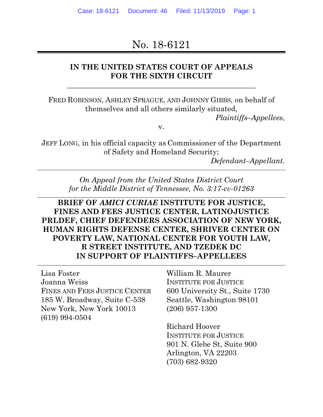# No. 18-6121

## **IN THE UNITED STATES COURT OF APPEALS FOR THE SIXTH CIRCUIT**

\_\_\_\_\_\_\_\_\_\_\_\_\_\_\_\_\_\_\_\_\_\_\_\_\_\_\_\_\_\_\_\_\_\_\_\_\_\_\_\_\_\_\_\_\_\_\_\_\_\_\_

FRED ROBINSON, ASHLEY SPRAGUE, AND JOHNNY GIBBS, on behalf of themselves and all others similarly situated,

*Plaintiffs–Appellees*,

v.

JEFF LONG, in his official capacity as Commissioner of the Department of Safety and Homeland Security;

*Defendant–Appellant.*

*On Appeal from the United States District Court for the Middle District of Tennessee, No. 3:17-cv-01263*

## **BRIEF OF** *AMICI CURIAE* **INSTITUTE FOR JUSTICE, FINES AND FEES JUSTICE CENTER, LATINOJUSTICE PRLDEF, CHIEF DEFENDERS ASSOCIATION OF NEW YORK, HUMAN RIGHTS DEFENSE CENTER, SHRIVER CENTER ON POVERTY LAW, NATIONAL CENTER FOR YOUTH LAW, R STREET INSTITUTE, AND TZEDEK DC IN SUPPORT OF PLAINTIFFS–APPELLEES**

Lisa Foster Joanna Weiss FINES AND FEES JUSTICE CENTER 185 W. Broadway, Suite C-538 New York, New York 10013 (619) 994-0504

William R. Maurer INSTITUTE FOR JUSTICE 600 University St., Suite 1730 Seattle, Washington 98101 (206) 957-1300

Richard Hoover INSTITUTE FOR JUSTICE 901 N. Glebe St, Suite 900 Arlington, VA 22203 (703) 682-9320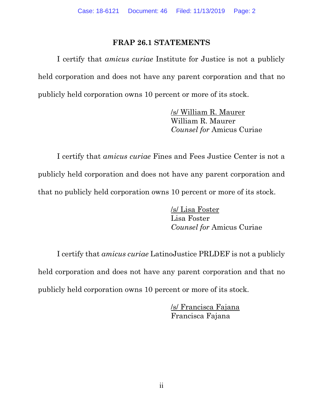### **FRAP 26.1 STATEMENTS**

I certify that *amicus curiae* Institute for Justice is not a publicly held corporation and does not have any parent corporation and that no publicly held corporation owns 10 percent or more of its stock.

> /s/ William R. Maurer William R. Maurer *Counsel for* Amicus Curiae

I certify that *amicus curiae* Fines and Fees Justice Center is not a publicly held corporation and does not have any parent corporation and that no publicly held corporation owns 10 percent or more of its stock.

> /s/ Lisa Foster Lisa Foster *Counsel for* Amicus Curiae

I certify that *amicus curiae* LatinoJustice PRLDEF is not a publicly held corporation and does not have any parent corporation and that no publicly held corporation owns 10 percent or more of its stock.

> /s/ Francisca Fajana Francisca Fajana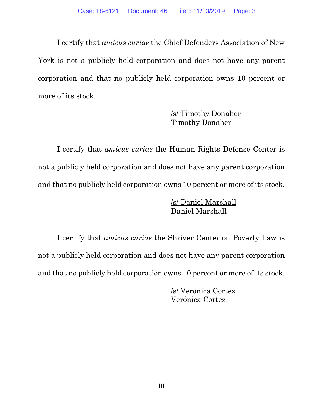I certify that *amicus curiae* the Chief Defenders Association of New York is not a publicly held corporation and does not have any parent corporation and that no publicly held corporation owns 10 percent or more of its stock.

## /s/ Timothy Donaher Timothy Donaher

I certify that *amicus curiae* the Human Rights Defense Center is not a publicly held corporation and does not have any parent corporation and that no publicly held corporation owns 10 percent or more of its stock.

> /s/ Daniel Marshall Daniel Marshall

I certify that *amicus curiae* the Shriver Center on Poverty Law is not a publicly held corporation and does not have any parent corporation and that no publicly held corporation owns 10 percent or more of its stock.

> /s/ Verónica Cortez Verónica Cortez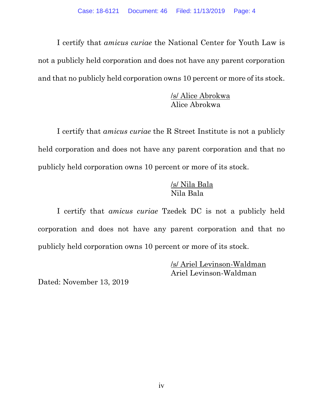I certify that *amicus curiae* the National Center for Youth Law is not a publicly held corporation and does not have any parent corporation and that no publicly held corporation owns 10 percent or more of its stock.

> /s/ Alice Abrokwa Alice Abrokwa

I certify that *amicus curiae* the R Street Institute is not a publicly held corporation and does not have any parent corporation and that no publicly held corporation owns 10 percent or more of its stock.

## /s/ Nila Bala Nila Bala

I certify that *amicus curiae* Tzedek DC is not a publicly held corporation and does not have any parent corporation and that no publicly held corporation owns 10 percent or more of its stock.

> /s/ Ariel Levinson-Waldman Ariel Levinson-Waldman

Dated: November 13, 2019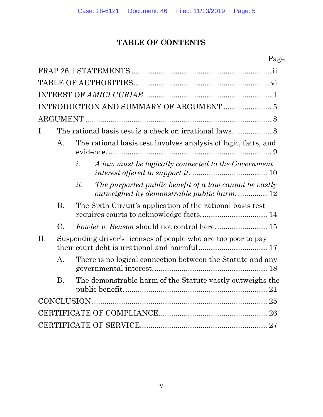# **TABLE OF CONTENTS**

# Page

|     | INTRODUCTION AND SUMMARY OF ARGUMENT  5 |                                                                                                                        |  |  |  |  |  |  |
|-----|-----------------------------------------|------------------------------------------------------------------------------------------------------------------------|--|--|--|--|--|--|
|     |                                         |                                                                                                                        |  |  |  |  |  |  |
| L.  |                                         |                                                                                                                        |  |  |  |  |  |  |
|     | $\mathbf{A}$ .                          | The rational basis test involves analysis of logic, facts, and                                                         |  |  |  |  |  |  |
|     |                                         | $\dot{i}$ .<br>A law must be logically connected to the Government                                                     |  |  |  |  |  |  |
|     |                                         | The purported public benefit of a law cannot be vastly<br>$\mathfrak{U}.$<br>outweighed by demonstrable public harm 12 |  |  |  |  |  |  |
|     | <b>B.</b>                               | The Sixth Circuit's application of the rational basis test                                                             |  |  |  |  |  |  |
|     | $\mathcal{C}$ .                         |                                                                                                                        |  |  |  |  |  |  |
| II. |                                         | Suspending driver's licenses of people who are too poor to pay                                                         |  |  |  |  |  |  |
|     | $\mathbf{A}$ .                          | There is no logical connection between the Statute and any                                                             |  |  |  |  |  |  |
|     | <b>B.</b>                               | The demonstrable harm of the Statute vastly outweighs the                                                              |  |  |  |  |  |  |
|     |                                         |                                                                                                                        |  |  |  |  |  |  |
|     |                                         |                                                                                                                        |  |  |  |  |  |  |
|     |                                         |                                                                                                                        |  |  |  |  |  |  |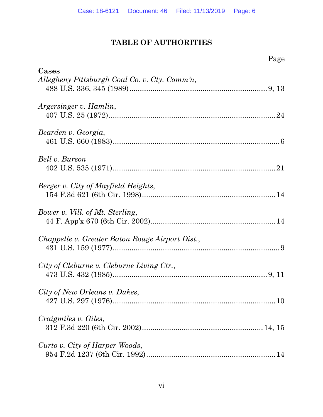# **TABLE OF AUTHORITIES**

| Page                                                   |  |
|--------------------------------------------------------|--|
| Cases<br>Allegheny Pittsburgh Coal Co. v. Cty. Comm'n, |  |
| Argersinger v. Hamlin,                                 |  |
| Bearden v. Georgia,                                    |  |
| Bell v. Burson                                         |  |
| Berger v. City of Mayfield Heights,                    |  |
| Bower v. Vill. of Mt. Sterling,                        |  |
| Chappelle v. Greater Baton Rouge Airport Dist.,        |  |
| City of Cleburne v. Cleburne Living Ctr.,              |  |
| City of New Orleans v. Dukes,                          |  |
| Craigmiles v. Giles,                                   |  |
| Curto v. City of Harper Woods,                         |  |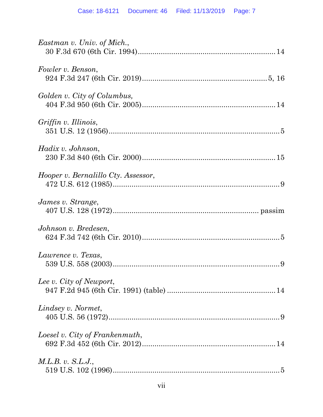| Eastman v. Univ. of Mich.,          |
|-------------------------------------|
| Fowler v. Benson,                   |
| Golden v. City of Columbus,         |
| Griffin v. Illinois,                |
| Hadix v. Johnson,                   |
| Hooper v. Bernalillo Cty. Assessor, |
| James v. Strange,                   |
| Johnson v. Bredesen,                |
| Lawrence v. Texas,                  |
| Lee v. City of Newport,             |
| Lindsey v. Normet,                  |
| Loesel v. City of Frankenmuth,      |
| M.L.B. v. S.L.J.,                   |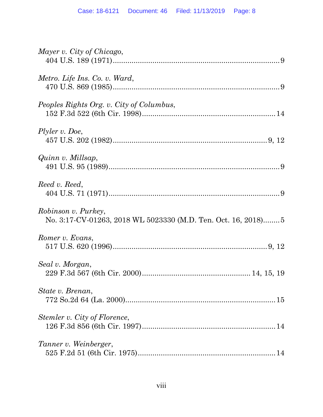| Mayer v. City of Chicago,                                                             |
|---------------------------------------------------------------------------------------|
| Metro. Life Ins. Co. v. Ward,                                                         |
| Peoples Rights Org. v. City of Columbus,                                              |
| Plyler v. Doe,                                                                        |
| Quinn v. Millsap,                                                                     |
| Reed v. Reed,                                                                         |
| Robinson v. Purkey,<br>No. 3:17-CV-01263, 2018 WL 5023330 (M.D. Ten. Oct. 16, 2018) 5 |
| Romer v. Evans,                                                                       |
| Seal v. Morgan,                                                                       |
| State v. Brenan,                                                                      |
| Stemler v. City of Florence,                                                          |
| Tanner v. Weinberger,                                                                 |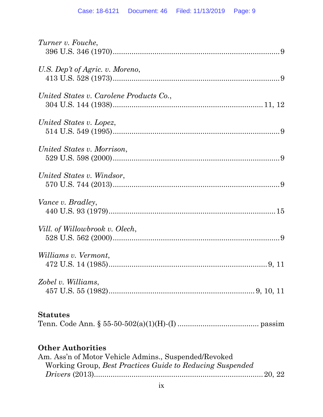| Turner v. Fouche,                                         |
|-----------------------------------------------------------|
|                                                           |
| U.S. Dep't of Agric. v. Moreno,                           |
|                                                           |
|                                                           |
| United States v. Carolene Products Co.,                   |
|                                                           |
| United States v. Lopez,                                   |
|                                                           |
|                                                           |
| United States v. Morrison,                                |
|                                                           |
| United States v. Windsor,                                 |
|                                                           |
|                                                           |
| Vance v. Bradley,                                         |
|                                                           |
| Vill. of Willowbrook v. Olech,                            |
|                                                           |
|                                                           |
| Williams v. Vermont,                                      |
|                                                           |
| Zobel v. Williams,                                        |
|                                                           |
|                                                           |
| <b>Statutes</b>                                           |
|                                                           |
|                                                           |
| <b>Other Authorities</b>                                  |
| Am. Ass'n of Motor Vehicle Admins., Suspended/Revoked     |
| Working Group, Best Practices Guide to Reducing Suspended |
|                                                           |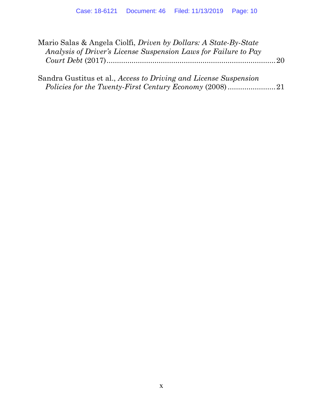| Mario Salas & Angela Ciolfi, <i>Driven by Dollars: A State-By-State</i> |  |
|-------------------------------------------------------------------------|--|
| Analysis of Driver's License Suspension Laws for Failure to Pay         |  |
|                                                                         |  |
|                                                                         |  |

| Sandra Gustitus et al., Access to Driving and License Suspension |  |
|------------------------------------------------------------------|--|
|                                                                  |  |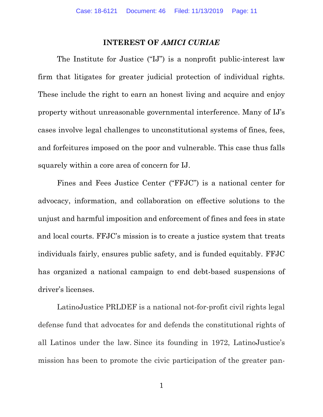### **INTEREST OF** *AMICI CURIAE*

The Institute for Justice ("IJ") is a nonprofit public-interest law firm that litigates for greater judicial protection of individual rights. These include the right to earn an honest living and acquire and enjoy property without unreasonable governmental interference. Many of IJ's cases involve legal challenges to unconstitutional systems of fines, fees, and forfeitures imposed on the poor and vulnerable. This case thus falls squarely within a core area of concern for IJ.

Fines and Fees Justice Center ("FFJC") is a national center for advocacy, information, and collaboration on effective solutions to the unjust and harmful imposition and enforcement of fines and fees in state and local courts. FFJC's mission is to create a justice system that treats individuals fairly, ensures public safety, and is funded equitably. FFJC has organized a national campaign to end debt-based suspensions of driver's licenses.

LatinoJustice PRLDEF is a national not-for-profit civil rights legal defense fund that advocates for and defends the constitutional rights of all Latinos under the law. Since its founding in 1972, LatinoJustice's mission has been to promote the civic participation of the greater pan-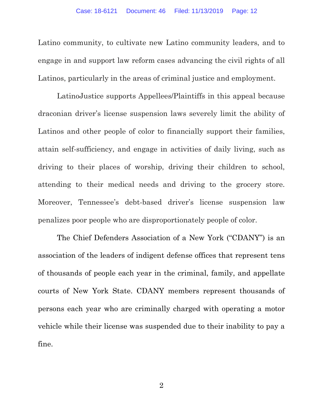Latino community, to cultivate new Latino community leaders, and to engage in and support law reform cases advancing the civil rights of all Latinos, particularly in the areas of criminal justice and employment.

LatinoJustice supports Appellees/Plaintiffs in this appeal because draconian driver's license suspension laws severely limit the ability of Latinos and other people of color to financially support their families, attain self-sufficiency, and engage in activities of daily living, such as driving to their places of worship, driving their children to school, attending to their medical needs and driving to the grocery store. Moreover, Tennessee's debt-based driver's license suspension law penalizes poor people who are disproportionately people of color.

The Chief Defenders Association of a New York ("CDANY") is an association of the leaders of indigent defense offices that represent tens of thousands of people each year in the criminal, family, and appellate courts of New York State. CDANY members represent thousands of persons each year who are criminally charged with operating a motor vehicle while their license was suspended due to their inability to pay a fine.

2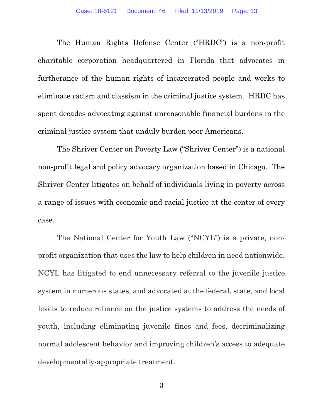The Human Rights Defense Center ("HRDC") is a non-profit charitable corporation headquartered in Florida that advocates in furtherance of the human rights of incarcerated people and works to eliminate racism and classism in the criminal justice system. HRDC has spent decades advocating against unreasonable financial burdens in the criminal justice system that unduly burden poor Americans.

The Shriver Center on Poverty Law ("Shriver Center") is a national non-profit legal and policy advocacy organization based in Chicago. The Shriver Center litigates on behalf of individuals living in poverty across a range of issues with economic and racial justice at the center of every case.

The National Center for Youth Law ("NCYL") is a private, nonprofit organization that uses the law to help children in need nationwide. NCYL has litigated to end unnecessary referral to the juvenile justice system in numerous states, and advocated at the federal, state, and local levels to reduce reliance on the justice systems to address the needs of youth, including eliminating juvenile fines and fees, decriminalizing normal adolescent behavior and improving children's access to adequate developmentally-appropriate treatment.

3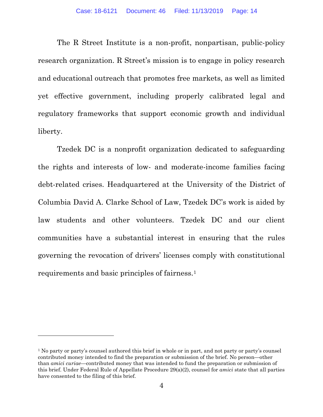The R Street Institute is a non-profit, nonpartisan, public-policy research organization. R Street's mission is to engage in policy research and educational outreach that promotes free markets, as well as limited yet effective government, including properly calibrated legal and regulatory frameworks that support economic growth and individual liberty.

Tzedek DC is a nonprofit organization dedicated to safeguarding the rights and interests of low- and moderate-income families facing debt-related crises. Headquartered at the University of the District of Columbia David A. Clarke School of Law, Tzedek DC's work is aided by law students and other volunteers. Tzedek DC and our client communities have a substantial interest in ensuring that the rules governing the revocation of drivers' licenses comply with constitutional requirements and basic principles of fairness.[1](#page-13-0)

<span id="page-13-0"></span><sup>&</sup>lt;sup>1</sup> No party or party's counsel authored this brief in whole or in part, and not party or party's counsel contributed money intended to find the preparation or submission of the brief. No person—other than *amici curiae*—contributed money that was intended to fund the preparation or submission of this brief. Under Federal Rule of Appellate Procedure 29(a)(2), counsel for *amici* state that all parties have consented to the filing of this brief.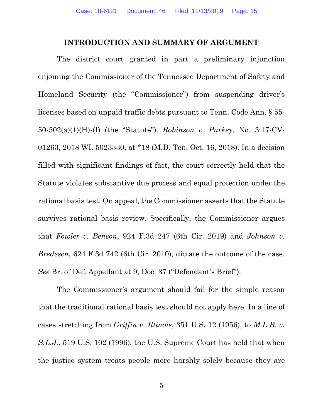### **INTRODUCTION AND SUMMARY OF ARGUMENT**

The district court granted in part a preliminary injunction enjoining the Commissioner of the Tennessee Department of Safety and Homeland Security (the "Commissioner") from suspending driver's licenses based on unpaid traffic debts pursuant to Tenn. Code Ann. § 55- 50-502(a)(1)(H)-(I) (the "Statute"). *Robinson v. Purkey*, No. 3:17-CV-01263, 2018 WL 5023330, at \*18 (M.D. Ten. Oct. 16, 2018). In a decision filled with significant findings of fact, the court correctly held that the Statute violates substantive due process and equal protection under the rational basis test. On appeal, the Commissioner asserts that the Statute survives rational basis review. Specifically, the Commissioner argues that *Fowler v. Benson*, 924 F.3d 247 (6th Cir. 2019) and *Johnson v. Bredesen*, 624 F.3d 742 (6th Cir. 2010), dictate the outcome of the case. *See* Br. of Def. Appellant at 9, Doc. 37 ("Defendant's Brief").

The Commissioner's argument should fail for the simple reason that the traditional rational basis test should not apply here. In a line of cases stretching from *Griffin v. Illinois*, 351 U.S. 12 (1956), to *M.L.B. v. S.L.J.*, 519 U.S. 102 (1996), the U.S. Supreme Court has held that when the justice system treats people more harshly solely because they are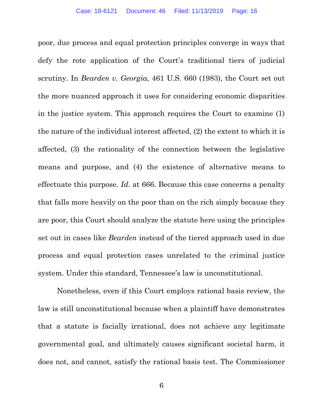poor, due process and equal protection principles converge in ways that defy the rote application of the Court's traditional tiers of judicial scrutiny. In *Bearden v. Georgia*, 461 U.S. 660 (1983), the Court set out the more nuanced approach it uses for considering economic disparities in the justice system. This approach requires the Court to examine (1) the nature of the individual interest affected, (2) the extent to which it is affected, (3) the rationality of the connection between the legislative means and purpose, and (4) the existence of alternative means to effectuate this purpose. *Id*. at 666. Because this case concerns a penalty that falls more heavily on the poor than on the rich simply because they are poor, this Court should analyze the statute here using the principles set out in cases like *Bearden* instead of the tiered approach used in due process and equal protection cases unrelated to the criminal justice system. Under this standard, Tennessee's law is unconstitutional.

Nonetheless, even if this Court employs rational basis review, the law is still unconstitutional because when a plaintiff have demonstrates that a statute is facially irrational, does not achieve any legitimate governmental goal, and ultimately causes significant societal harm, it does not, and cannot, satisfy the rational basis test. The Commissioner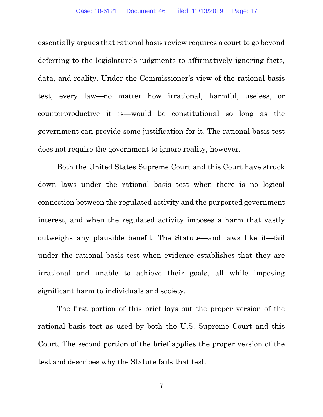essentially argues that rational basis review requires a court to go beyond deferring to the legislature's judgments to affirmatively ignoring facts, data, and reality. Under the Commissioner's view of the rational basis test, every law—no matter how irrational, harmful, useless, or counterproductive it is—would be constitutional so long as the government can provide some justification for it. The rational basis test does not require the government to ignore reality, however.

Both the United States Supreme Court and this Court have struck down laws under the rational basis test when there is no logical connection between the regulated activity and the purported government interest, and when the regulated activity imposes a harm that vastly outweighs any plausible benefit. The Statute—and laws like it—fail under the rational basis test when evidence establishes that they are irrational and unable to achieve their goals, all while imposing significant harm to individuals and society.

The first portion of this brief lays out the proper version of the rational basis test as used by both the U.S. Supreme Court and this Court. The second portion of the brief applies the proper version of the test and describes why the Statute fails that test.

7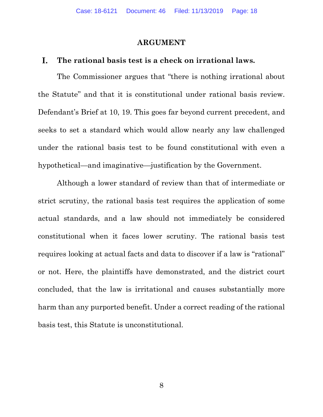### **ARGUMENT**

#### I. **The rational basis test is a check on irrational laws.**

The Commissioner argues that "there is nothing irrational about the Statute" and that it is constitutional under rational basis review. Defendant's Brief at 10, 19. This goes far beyond current precedent, and seeks to set a standard which would allow nearly any law challenged under the rational basis test to be found constitutional with even a hypothetical—and imaginative—justification by the Government.

Although a lower standard of review than that of intermediate or strict scrutiny, the rational basis test requires the application of some actual standards, and a law should not immediately be considered constitutional when it faces lower scrutiny. The rational basis test requires looking at actual facts and data to discover if a law is "rational" or not. Here, the plaintiffs have demonstrated, and the district court concluded, that the law is irritational and causes substantially more harm than any purported benefit. Under a correct reading of the rational basis test, this Statute is unconstitutional.

8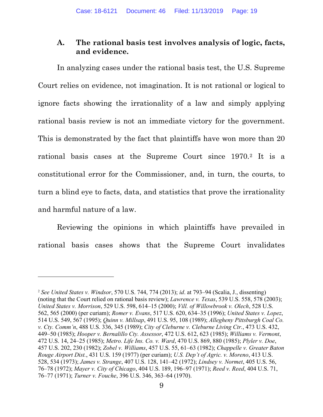### **A. The rational basis test involves analysis of logic, facts, and evidence.**

In analyzing cases under the rational basis test, the U.S. Supreme Court relies on evidence, not imagination. It is not rational or logical to ignore facts showing the irrationality of a law and simply applying rational basis review is not an immediate victory for the government. This is demonstrated by the fact that plaintiffs have won more than 20 rational basis cases at the Supreme Court since 1970.[2](#page-18-0) It is a constitutional error for the Commissioner, and, in turn, the courts, to turn a blind eye to facts, data, and statistics that prove the irrationality and harmful nature of a law.

Reviewing the opinions in which plaintiffs have prevailed in rational basis cases shows that the Supreme Court invalidates

<span id="page-18-0"></span><sup>2</sup> *See United States v. Windsor*, 570 U.S. 744, 774 (2013); *id*. at 793–94 (Scalia, J., dissenting) (noting that the Court relied on rational basis review); *Lawrence v. Texas*, 539 U.S. 558, 578 (2003); *United States v. Morrison*, 529 U.S. 598, 614–15 (2000); *Vill. of Willowbrook v. Olech*, 528 U.S. 562, 565 (2000) (per curiam); *Romer v. Evans*, 517 U.S. 620, 634–35 (1996); *United States v. Lopez*, 514 U.S. 549, 567 (1995); *Quinn v. Millsap*, 491 U.S. 95, 108 (1989); *Allegheny Pittsburgh Coal Co. v. Cty. Comm'n*, 488 U.S. 336, 345 (1989); *City of Cleburne v. Cleburne Living Ctr.*, 473 U.S. 432, 449–50 (1985); *Hooper v. Bernalillo Cty. Assessor*, 472 U.S. 612, 623 (1985); *Williams v. Vermont*, 472 U.S. 14, 24–25 (1985); *Metro. Life Ins. Co. v. Ward*, 470 U.S. 869, 880 (1985); *Plyler v. Doe*, 457 U.S. 202, 230 (1982); *Zobel v. Williams*, 457 U.S. 55, 61–63 (1982); *Chappelle v. Greater Baton Rouge Airport Dist.*, 431 U.S. 159 (1977) (per curiam); *U.S. Dep't of Agric. v. Moreno*, 413 U.S. 528, 534 (1973); *James v. Strange*, 407 U.S. 128, 141–42 (1972); *Lindsey v. Normet*, 405 U.S. 56, 76–78 (1972); *Mayer v. City of Chicago*, 404 U.S. 189, 196–97 (1971); *Reed v. Reed*, 404 U.S. 71, 76–77 (1971); *Turner v. Fouche*, 396 U.S. 346, 363–64 (1970).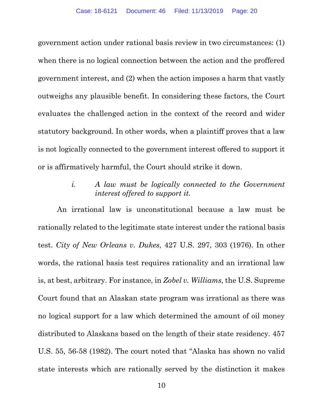government action under rational basis review in two circumstances: (1) when there is no logical connection between the action and the proffered government interest, and (2) when the action imposes a harm that vastly outweighs any plausible benefit. In considering these factors, the Court evaluates the challenged action in the context of the record and wider statutory background. In other words, when a plaintiff proves that a law is not logically connected to the government interest offered to support it or is affirmatively harmful, the Court should strike it down.

> *i. A law must be logically connected to the Government interest offered to support it.*

An irrational law is unconstitutional because a law must be rationally related to the legitimate state interest under the rational basis test. *City of New Orleans v. Dukes*, 427 U.S. 297, 303 (1976). In other words, the rational basis test requires rationality and an irrational law is, at best, arbitrary. For instance, in *Zobel v. Williams*, the U.S. Supreme Court found that an Alaskan state program was irrational as there was no logical support for a law which determined the amount of oil money distributed to Alaskans based on the length of their state residency. 457 U.S. 55, 56-58 (1982). The court noted that "Alaska has shown no valid state interests which are rationally served by the distinction it makes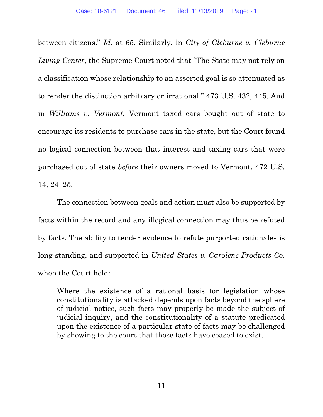between citizens." *Id.* at 65. Similarly, in *City of Cleburne v. Cleburne Living Center*, the Supreme Court noted that "The State may not rely on a classification whose relationship to an asserted goal is so attenuated as to render the distinction arbitrary or irrational." 473 U.S. 432, 445. And in *Williams v. Vermont*, Vermont taxed cars bought out of state to encourage its residents to purchase cars in the state, but the Court found no logical connection between that interest and taxing cars that were purchased out of state *before* their owners moved to Vermont. 472 U.S. 14, 24–25.

The connection between goals and action must also be supported by facts within the record and any illogical connection may thus be refuted by facts. The ability to tender evidence to refute purported rationales is long-standing, and supported in *United States v. Carolene Products Co.* when the Court held:

Where the existence of a rational basis for legislation whose constitutionality is attacked depends upon facts beyond the sphere of judicial notice, such facts may properly be made the subject of judicial inquiry, and the constitutionality of a statute predicated upon the existence of a particular state of facts may be challenged by showing to the court that those facts have ceased to exist.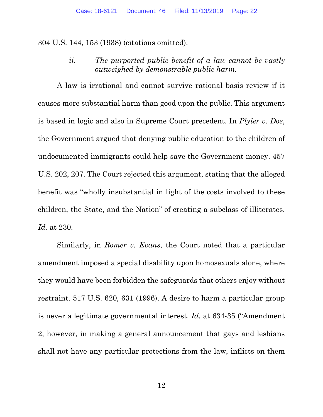304 U.S. 144, 153 (1938) (citations omitted).

*ii. The purported public benefit of a law cannot be vastly outweighed by demonstrable public harm.*

A law is irrational and cannot survive rational basis review if it causes more substantial harm than good upon the public. This argument is based in logic and also in Supreme Court precedent. In *Plyler v. Doe*, the Government argued that denying public education to the children of undocumented immigrants could help save the Government money. 457 U.S. 202, 207. The Court rejected this argument, stating that the alleged benefit was "wholly insubstantial in light of the costs involved to these children, the State, and the Nation" of creating a subclass of illiterates. *Id.* at 230.

Similarly, in *Romer v. Evans*, the Court noted that a particular amendment imposed a special disability upon homosexuals alone, where they would have been forbidden the safeguards that others enjoy without restraint. 517 U.S. 620, 631 (1996). A desire to harm a particular group is never a legitimate governmental interest. *Id.* at 634-35 ("Amendment 2, however, in making a general announcement that gays and lesbians shall not have any particular protections from the law, inflicts on them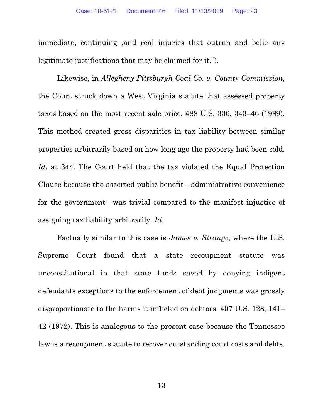immediate, continuing ,and real injuries that outrun and belie any legitimate justifications that may be claimed for it.").

Likewise, in *Allegheny Pittsburgh Coal Co. v. County Commission*, the Court struck down a West Virginia statute that assessed property taxes based on the most recent sale price. 488 U.S. 336, 343–46 (1989). This method created gross disparities in tax liability between similar properties arbitrarily based on how long ago the property had been sold. *Id.* at 344. The Court held that the tax violated the Equal Protection Clause because the asserted public benefit—administrative convenience for the government—was trivial compared to the manifest injustice of assigning tax liability arbitrarily. *Id.*

Factually similar to this case is *James v. Strange*, where the U.S. Supreme Court found that a state recoupment statute was unconstitutional in that state funds saved by denying indigent defendants exceptions to the enforcement of debt judgments was grossly disproportionate to the harms it inflicted on debtors. 407 U.S. 128, 141– 42 (1972). This is analogous to the present case because the Tennessee law is a recoupment statute to recover outstanding court costs and debts.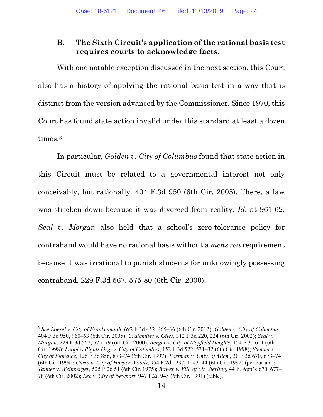### **B. The Sixth Circuit's application of the rational basis test requires courts to acknowledge facts.**

With one notable exception discussed in the next section, this Court also has a history of applying the rational basis test in a way that is distinct from the version advanced by the Commissioner. Since 1970, this Court has found state action invalid under this standard at least a dozen times.<sup>[3](#page-23-0)</sup>

In particular, *Golden v. City of Columbus* found that state action in this Circuit must be related to a governmental interest not only conceivably, but rationally. 404 F.3d 950 (6th Cir. 2005). There, a law was stricken down because it was divorced from reality. *Id.* at 961-62. *Seal v. Morgan* also held that a school's zero-tolerance policy for contraband would have no rational basis without a *mens rea* requirement because it was irrational to punish students for unknowingly possessing contraband. 229 F.3d 567, 575-80 (6th Cir. 2000).

<span id="page-23-0"></span><sup>3</sup> *See Loesel v. City of Frankenmuth*, 692 F.3d 452, 465–66 (6th Cir. 2012); *Golden v. City of Columbus*, 404 F.3d 950, 960–63 (6th Cir. 2005); *Craigmiles v. Giles*, 312 F.3d 220, 224 (6th Cir. 2002); *Seal v. Morgan*, 229 F.3d 567, 575–79 (6th Cir. 2000); *Berger v. City of Mayfield Heights*, 154 F.3d 621 (6th Cir. 1998); *Peoples Rights Org. v. City of Columbus*, 152 F.3d 522, 531–32 (6th Cir. 1998); *Stemler v. City of Florence*, 126 F.3d 856, 873–74 (6th Cir. 1997); *Eastman v. Univ. of Mich.*, 30 F.3d 670, 673–74 (6th Cir. 1994); *Curto v. City of Harper Woods*, 954 F.2d 1237, 1243–44 (6th Cir. 1992) (per curiam); *Tanner v. Weinberger*, 525 F.2d 51 (6th Cir. 1975); *Bower v. Vill. of Mt. Sterling*, 44 F. App'x 670, 677– 78 (6th Cir. 2002); *Lee v. City of Newport*, 947 F.2d 945 (6th Cir. 1991) (table).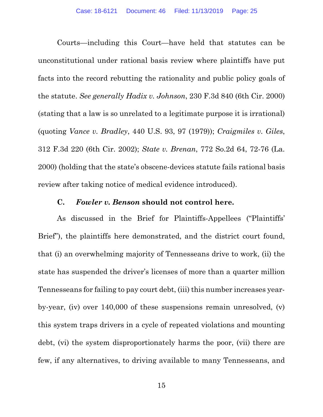Courts—including this Court—have held that statutes can be unconstitutional under rational basis review where plaintiffs have put facts into the record rebutting the rationality and public policy goals of the statute. *See generally Hadix v. Johnson*, 230 F.3d 840 (6th Cir. 2000) (stating that a law is so unrelated to a legitimate purpose it is irrational) (quoting *Vance v. Bradley*, 440 U.S. 93, 97 (1979)); *Craigmiles v. Giles*, 312 F.3d 220 (6th Cir. 2002); *State v. Brenan*, 772 So.2d 64, 72-76 (La. 2000) (holding that the state's obscene-devices statute fails rational basis review after taking notice of medical evidence introduced).

### **C.** *Fowler v. Benson* **should not control here.**

As discussed in the Brief for Plaintiffs-Appellees ("Plaintiffs' Brief"), the plaintiffs here demonstrated, and the district court found, that (i) an overwhelming majority of Tennesseans drive to work, (ii) the state has suspended the driver's licenses of more than a quarter million Tennesseans for failing to pay court debt, (iii) this number increases yearby-year, (iv) over 140,000 of these suspensions remain unresolved, (v) this system traps drivers in a cycle of repeated violations and mounting debt, (vi) the system disproportionately harms the poor, (vii) there are few, if any alternatives, to driving available to many Tennesseans, and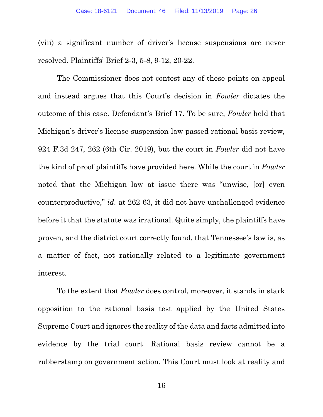(viii) a significant number of driver's license suspensions are never resolved. Plaintiffs' Brief 2-3, 5-8, 9-12, 20-22.

The Commissioner does not contest any of these points on appeal and instead argues that this Court's decision in *Fowler* dictates the outcome of this case. Defendant's Brief 17. To be sure, *Fowler* held that Michigan's driver's license suspension law passed rational basis review, 924 F.3d 247, 262 (6th Cir. 2019), but the court in *Fowler* did not have the kind of proof plaintiffs have provided here. While the court in *Fowler*  noted that the Michigan law at issue there was "unwise, [or] even counterproductive," *id.* at 262-63, it did not have unchallenged evidence before it that the statute was irrational. Quite simply, the plaintiffs have proven, and the district court correctly found, that Tennessee's law is, as a matter of fact, not rationally related to a legitimate government interest.

To the extent that *Fowler* does control, moreover, it stands in stark opposition to the rational basis test applied by the United States Supreme Court and ignores the reality of the data and facts admitted into evidence by the trial court. Rational basis review cannot be a rubberstamp on government action. This Court must look at reality and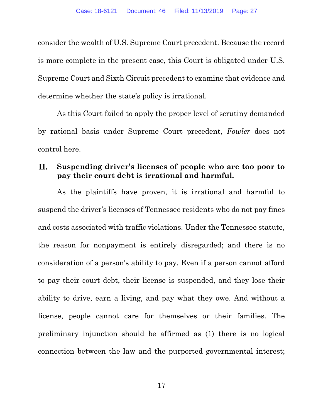consider the wealth of U.S. Supreme Court precedent. Because the record is more complete in the present case, this Court is obligated under U.S. Supreme Court and Sixth Circuit precedent to examine that evidence and determine whether the state's policy is irrational.

As this Court failed to apply the proper level of scrutiny demanded by rational basis under Supreme Court precedent, *Fowler* does not control here.

#### II. **Suspending driver's licenses of people who are too poor to pay their court debt is irrational and harmful.**

As the plaintiffs have proven, it is irrational and harmful to suspend the driver's licenses of Tennessee residents who do not pay fines and costs associated with traffic violations. Under the Tennessee statute, the reason for nonpayment is entirely disregarded; and there is no consideration of a person's ability to pay. Even if a person cannot afford to pay their court debt, their license is suspended, and they lose their ability to drive, earn a living, and pay what they owe. And without a license, people cannot care for themselves or their families. The preliminary injunction should be affirmed as (1) there is no logical connection between the law and the purported governmental interest;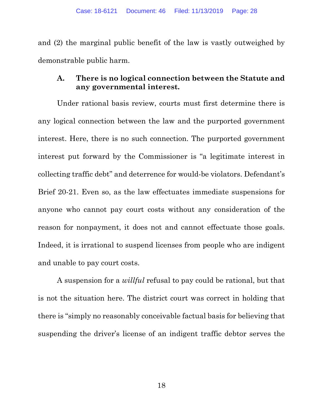and (2) the marginal public benefit of the law is vastly outweighed by demonstrable public harm.

### **A. There is no logical connection between the Statute and any governmental interest.**

Under rational basis review, courts must first determine there is any logical connection between the law and the purported government interest. Here, there is no such connection. The purported government interest put forward by the Commissioner is "a legitimate interest in collecting traffic debt" and deterrence for would-be violators. Defendant's Brief 20-21. Even so, as the law effectuates immediate suspensions for anyone who cannot pay court costs without any consideration of the reason for nonpayment, it does not and cannot effectuate those goals. Indeed, it is irrational to suspend licenses from people who are indigent and unable to pay court costs.

A suspension for a *willful* refusal to pay could be rational, but that is not the situation here. The district court was correct in holding that there is "simply no reasonably conceivable factual basis for believing that suspending the driver's license of an indigent traffic debtor serves the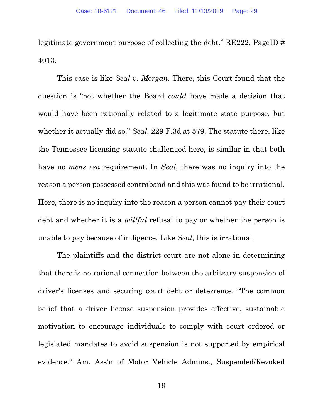legitimate government purpose of collecting the debt." RE222, PageID # 4013.

This case is like *Seal v. Morgan*. There, this Court found that the question is "not whether the Board *could* have made a decision that would have been rationally related to a legitimate state purpose, but whether it actually did so." *Seal*, 229 F.3d at 579. The statute there, like the Tennessee licensing statute challenged here, is similar in that both have no *mens rea* requirement. In *Seal*, there was no inquiry into the reason a person possessed contraband and this was found to be irrational. Here, there is no inquiry into the reason a person cannot pay their court debt and whether it is a *willful* refusal to pay or whether the person is unable to pay because of indigence. Like *Seal*, this is irrational.

The plaintiffs and the district court are not alone in determining that there is no rational connection between the arbitrary suspension of driver's licenses and securing court debt or deterrence. "The common belief that a driver license suspension provides effective, sustainable motivation to encourage individuals to comply with court ordered or legislated mandates to avoid suspension is not supported by empirical evidence." Am. Ass'n of Motor Vehicle Admins., Suspended/Revoked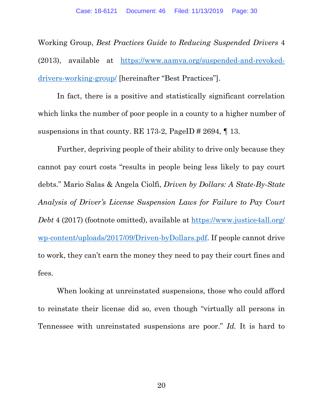Working Group, *Best Practices Guide to Reducing Suspended Drivers* 4 (2013), available at [https://www.aamva.org/suspended-and-revoked](https://www.aamva.org/suspended-and-revoked-drivers-working-group/)[drivers-working-group/](https://www.aamva.org/suspended-and-revoked-drivers-working-group/) [hereinafter "Best Practices"].

In fact, there is a positive and statistically significant correlation which links the number of poor people in a county to a higher number of suspensions in that county. RE 173-2, PageID # 2694,  $\P$  13.

Further, depriving people of their ability to drive only because they cannot pay court costs "results in people being less likely to pay court debts." Mario Salas & Angela Ciolfi, *Driven by Dollars: A State-By-State Analysis of Driver's License Suspension Laws for Failure to Pay Court Debt* 4 (2017) (footnote omitted), available at [https://www.justice4all.org/](https://www.justice4all.org/wp-content/uploads/2017/09/Driven-by-Dollars.pdf) [wp-content/uploads/2017/09/Driven-byDollars.pdf.](https://www.justice4all.org/wp-content/uploads/2017/09/Driven-by-Dollars.pdf) If people cannot drive to work, they can't earn the money they need to pay their court fines and fees.

When looking at unreinstated suspensions, those who could afford to reinstate their license did so, even though "virtually all persons in Tennessee with unreinstated suspensions are poor." *Id.* It is hard to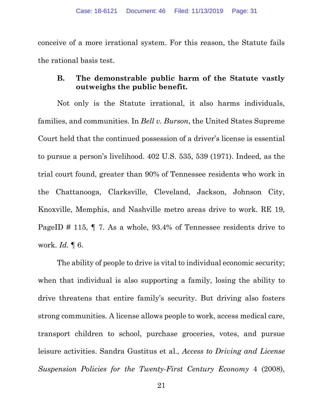conceive of a more irrational system. For this reason, the Statute fails the rational basis test.

## **B. The demonstrable public harm of the Statute vastly outweighs the public benefit.**

Not only is the Statute irrational, it also harms individuals, families, and communities. In *Bell v. Burson*, the United States Supreme Court held that the continued possession of a driver's license is essential to pursue a person's livelihood. 402 U.S. 535, 539 (1971). Indeed, as the trial court found, greater than 90% of Tennessee residents who work in the Chattanooga, Clarksville, Cleveland, Jackson, Johnson City, Knoxville, Memphis, and Nashville metro areas drive to work. RE 19, PageID # 115, ¶ 7. As a whole, 93.4% of Tennessee residents drive to work. *Id.* ¶ 6.

The ability of people to drive is vital to individual economic security; when that individual is also supporting a family, losing the ability to drive threatens that entire family's security. But driving also fosters strong communities. A license allows people to work, access medical care, transport children to school, purchase groceries, votes, and pursue leisure activities. Sandra Gustitus et al., *Access to Driving and License Suspension Policies for the Twenty-First Century Economy* 4 (2008),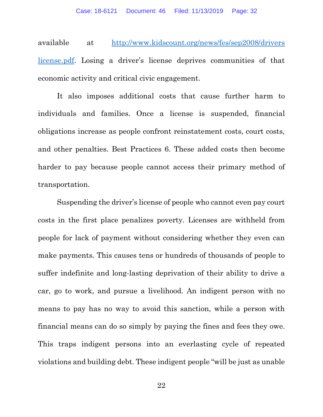available at [http://www.kidscount.org/news/fes/sep2008/drivers](http://www.kidscount.org/news/fes/sep2008/driverslicense.pdf) [license.pdf.](http://www.kidscount.org/news/fes/sep2008/driverslicense.pdf) Losing a driver's license deprives communities of that economic activity and critical civic engagement.

It also imposes additional costs that cause further harm to individuals and families. Once a license is suspended, financial obligations increase as people confront reinstatement costs, court costs, and other penalties. Best Practices 6. These added costs then become harder to pay because people cannot access their primary method of transportation.

Suspending the driver's license of people who cannot even pay court costs in the first place penalizes poverty. Licenses are withheld from people for lack of payment without considering whether they even can make payments. This causes tens or hundreds of thousands of people to suffer indefinite and long-lasting deprivation of their ability to drive a car, go to work, and pursue a livelihood. An indigent person with no means to pay has no way to avoid this sanction, while a person with financial means can do so simply by paying the fines and fees they owe. This traps indigent persons into an everlasting cycle of repeated violations and building debt. These indigent people "will be just as unable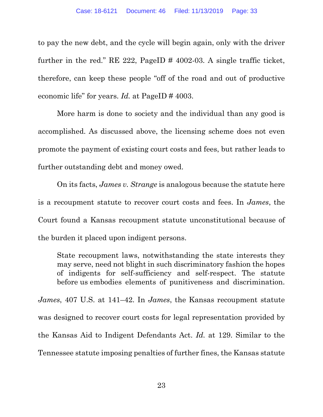to pay the new debt, and the cycle will begin again, only with the driver further in the red." RE 222, PageID # 4002-03. A single traffic ticket, therefore, can keep these people "off of the road and out of productive economic life" for years. *Id.* at PageID # 4003.

More harm is done to society and the individual than any good is accomplished. As discussed above, the licensing scheme does not even promote the payment of existing court costs and fees, but rather leads to further outstanding debt and money owed.

On its facts, *James v. Strange* is analogous because the statute here is a recoupment statute to recover court costs and fees. In *James*, the Court found a Kansas recoupment statute unconstitutional because of the burden it placed upon indigent persons.

State recoupment laws, notwithstanding the state interests they may serve, need not blight in such discriminatory fashion the hopes of indigents for self-sufficiency and self-respect. The statute before us embodies elements of punitiveness and discrimination.

*James*, 407 U.S. at 141–42. In *James*, the Kansas recoupment statute was designed to recover court costs for legal representation provided by the Kansas Aid to Indigent Defendants Act. *Id.* at 129. Similar to the Tennessee statute imposing penalties of further fines, the Kansas statute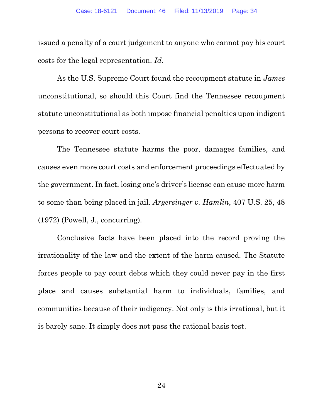issued a penalty of a court judgement to anyone who cannot pay his court costs for the legal representation. *Id.*

As the U.S. Supreme Court found the recoupment statute in *James* unconstitutional, so should this Court find the Tennessee recoupment statute unconstitutional as both impose financial penalties upon indigent persons to recover court costs.

The Tennessee statute harms the poor, damages families, and causes even more court costs and enforcement proceedings effectuated by the government. In fact, losing one's driver's license can cause more harm to some than being placed in jail. *Argersinger v. Hamlin*, 407 U.S. 25, 48 (1972) (Powell, J., concurring).

Conclusive facts have been placed into the record proving the irrationality of the law and the extent of the harm caused. The Statute forces people to pay court debts which they could never pay in the first place and causes substantial harm to individuals, families, and communities because of their indigency. Not only is this irrational, but it is barely sane. It simply does not pass the rational basis test.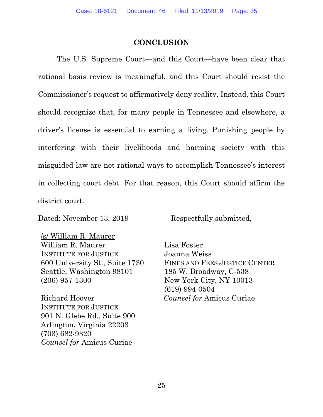### **CONCLUSION**

The U.S. Supreme Court—and this Court—have been clear that rational basis review is meaningful, and this Court should resist the Commissioner's request to affirmatively deny reality. Instead, this Court should recognize that, for many people in Tennessee and elsewhere, a driver's license is essential to earning a living. Punishing people by interfering with their livelihoods and harming society with this misguided law are not rational ways to accomplish Tennessee's interest in collecting court debt. For that reason, this Court should affirm the district court.

Dated: November 13, 2019 Respectfully submitted,

/s/ William R. Maurer William R. Maurer INSTITUTE FOR JUSTICE 600 University St., Suite 1730 Seattle, Washington 98101 (206) 957-1300

Richard Hoover INSTITUTE FOR JUSTICE 901 N. Glebe Rd., Suite 900 Arlington, Virginia 22203 (703) 682-9320 *Counsel for* Amicus Curiae

Lisa Foster Joanna Weiss FINES AND FEES JUSTICE CENTER 185 W. Broadway, C-538 New York City, NY 10013 (619) 994-0504 *Counsel for* Amicus Curiae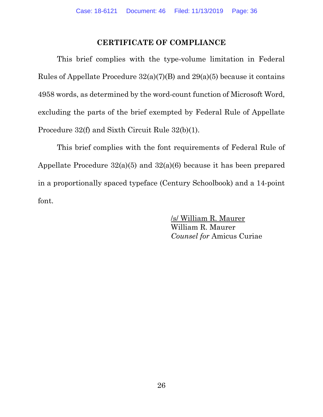### **CERTIFICATE OF COMPLIANCE**

This brief complies with the type-volume limitation in Federal Rules of Appellate Procedure  $32(a)(7)(B)$  and  $29(a)(5)$  because it contains 4958 words, as determined by the word-count function of Microsoft Word, excluding the parts of the brief exempted by Federal Rule of Appellate Procedure 32(f) and Sixth Circuit Rule 32(b)(1).

This brief complies with the font requirements of Federal Rule of Appellate Procedure 32(a)(5) and 32(a)(6) because it has been prepared in a proportionally spaced typeface (Century Schoolbook) and a 14-point font.

> /s/ William R. Maurer William R. Maurer *Counsel for* Amicus Curiae